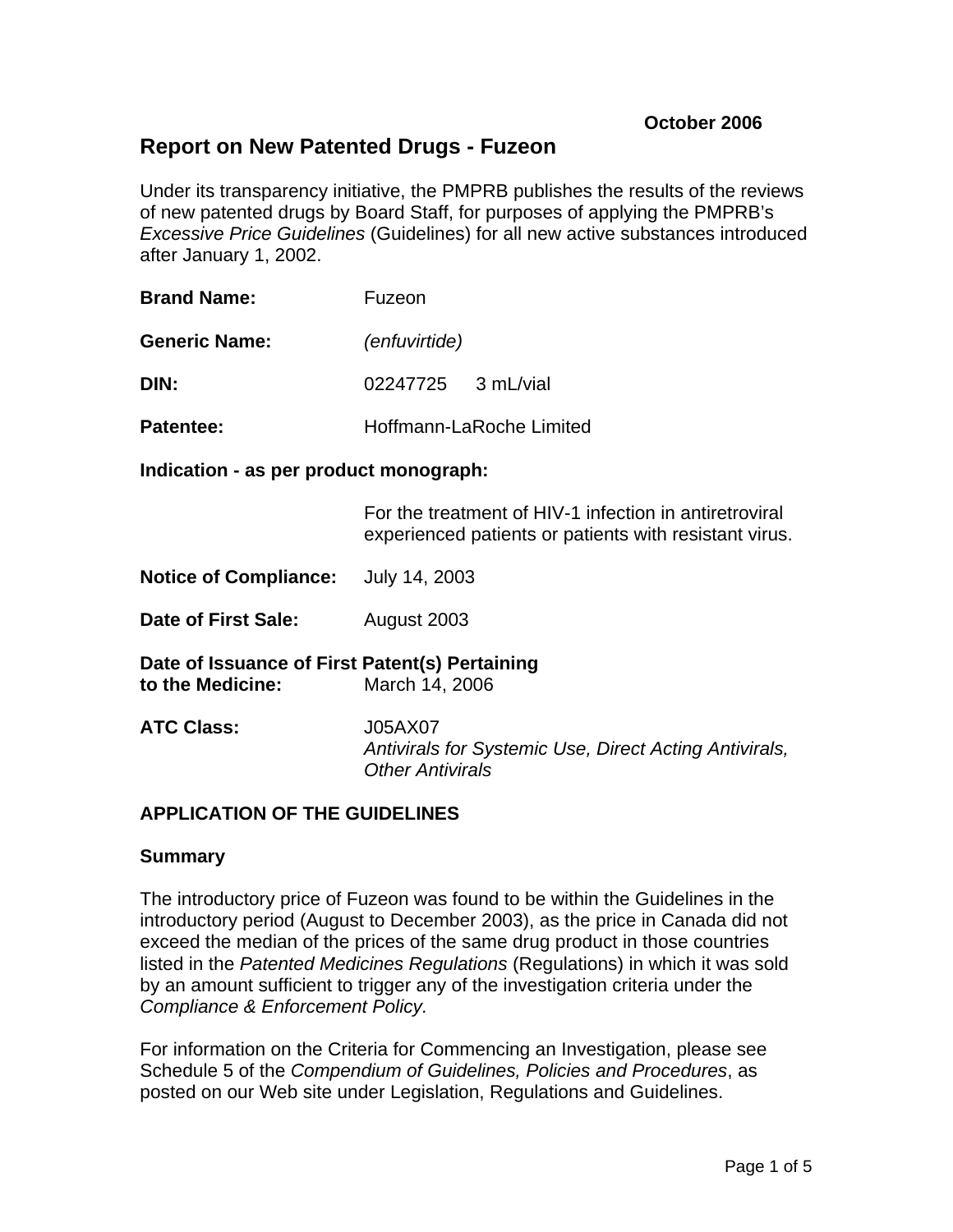# **Report on New Patented Drugs - Fuzeon**

Under its transparency initiative, the PMPRB publishes the results of the reviews of new patented drugs by Board Staff, for purposes of applying the PMPRB's *Excessive Price Guidelines* (Guidelines) for all new active substances introduced after January 1, 2002.

| <b>Brand Name:</b>   | Fuzeon                   |
|----------------------|--------------------------|
| <b>Generic Name:</b> | (enfuvirtide)            |
| DIN:                 | 02247725 3 mL/vial       |
| <b>Patentee:</b>     | Hoffmann-LaRoche Limited |

**Indication - as per product monograph:** 

For the treatment of HIV-1 infection in antiretroviral experienced patients or patients with resistant virus.

**Notice of Compliance:** July 14, 2003

**Date of First Sale:** August 2003

**Date of Issuance of First Patent(s) Pertaining to the Medicine:** March 14, 2006

**ATC Class:** J05AX07 *Antivirals for Systemic Use, Direct Acting Antivirals, Other Antivirals* 

### **APPLICATION OF THE GUIDELINES**

### **Summary**

The introductory price of Fuzeon was found to be within the Guidelines in the introductory period (August to December 2003), as the price in Canada did not exceed the median of the prices of the same drug product in those countries listed in the *Patented Medicines Regulations* (Regulations) in which it was sold by an amount sufficient to trigger any of the investigation criteria under the *Compliance & Enforcement Policy.*

For information on the Criteria for Commencing an Investigation, please see Schedule 5 of the *Compendium of Guidelines, Policies and Procedures*, as posted on our Web site under Legislation, Regulations and Guidelines.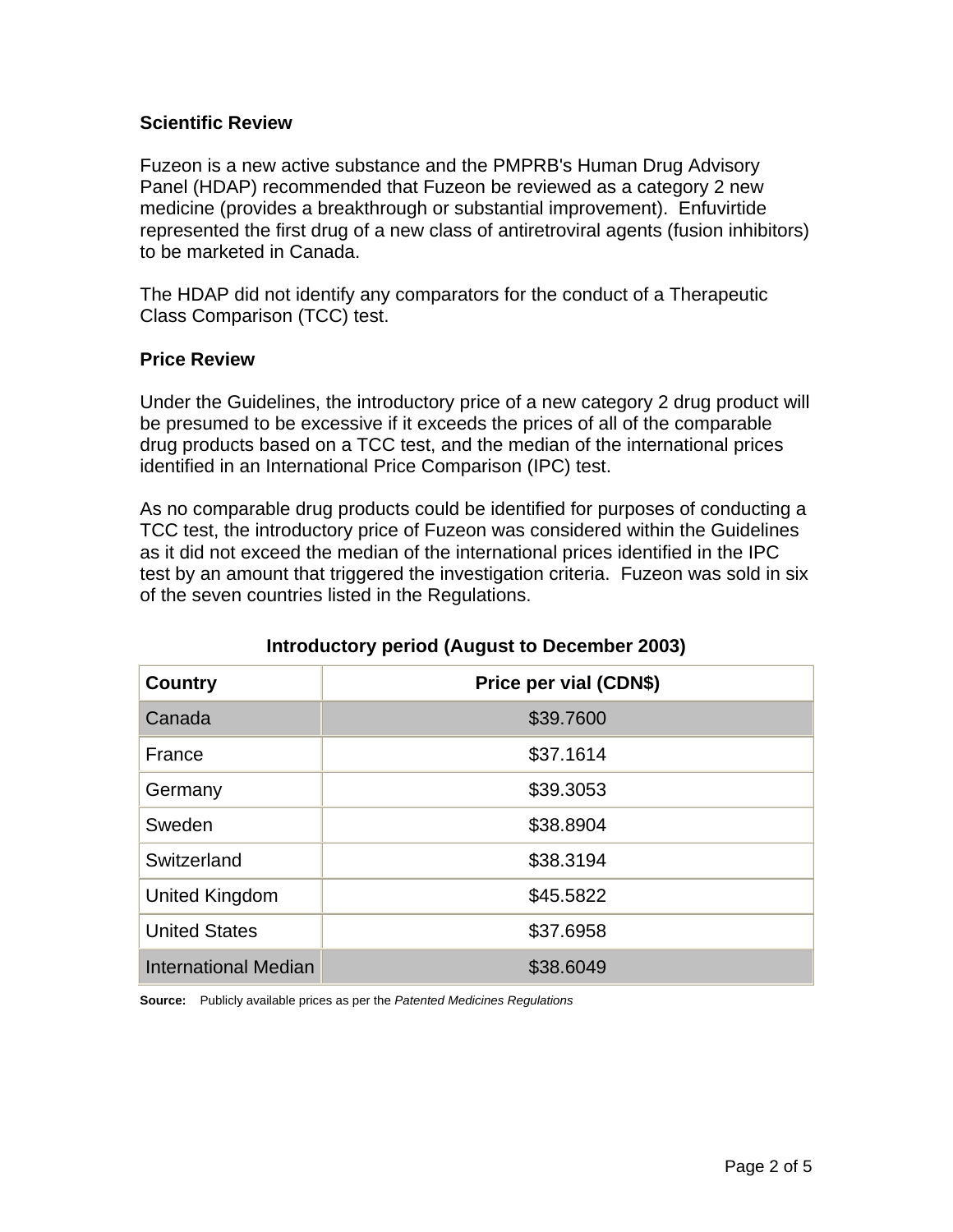### **Scientific Review**

Fuzeon is a new active substance and the PMPRB's Human Drug Advisory Panel (HDAP) recommended that Fuzeon be reviewed as a category 2 new medicine (provides a breakthrough or substantial improvement). Enfuvirtide represented the first drug of a new class of antiretroviral agents (fusion inhibitors) to be marketed in Canada.

The HDAP did not identify any comparators for the conduct of a Therapeutic Class Comparison (TCC) test.

## **Price Review**

Under the Guidelines, the introductory price of a new category 2 drug product will be presumed to be excessive if it exceeds the prices of all of the comparable drug products based on a TCC test, and the median of the international prices identified in an International Price Comparison (IPC) test.

As no comparable drug products could be identified for purposes of conducting a TCC test, the introductory price of Fuzeon was considered within the Guidelines as it did not exceed the median of the international prices identified in the IPC test by an amount that triggered the investigation criteria. Fuzeon was sold in six of the seven countries listed in the Regulations.

| <b>Country</b>              | Price per vial (CDN\$) |
|-----------------------------|------------------------|
| Canada                      | \$39.7600              |
| France                      | \$37.1614              |
| Germany                     | \$39.3053              |
| Sweden                      | \$38.8904              |
| Switzerland                 | \$38.3194              |
| United Kingdom              | \$45.5822              |
| <b>United States</b>        | \$37.6958              |
| <b>International Median</b> | \$38.6049              |

# **Introductory period (August to December 2003)**

**Source:** Publicly available prices as per the *Patented Medicines Regulations*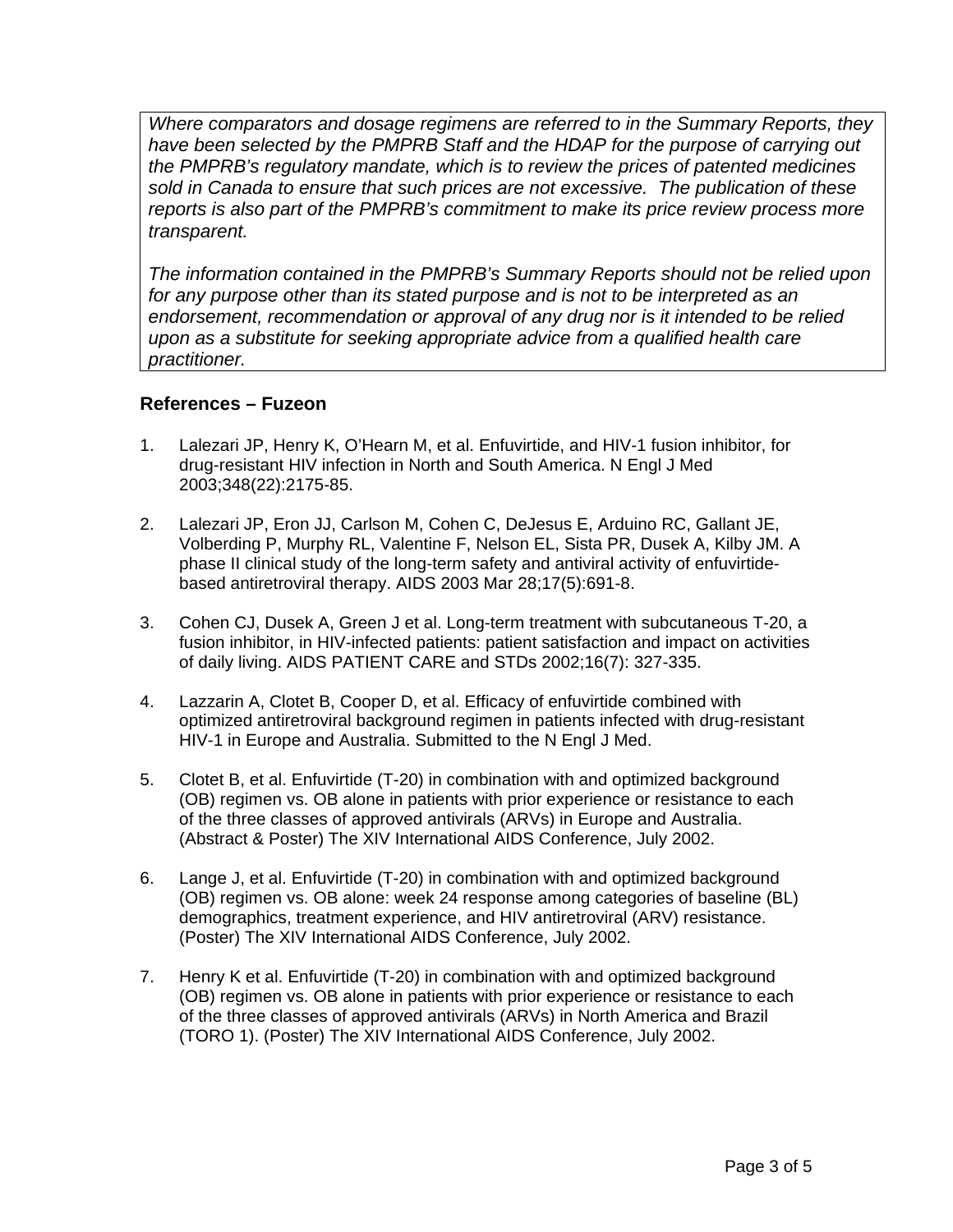*Where comparators and dosage regimens are referred to in the Summary Reports, they have been selected by the PMPRB Staff and the HDAP for the purpose of carrying out the PMPRB's regulatory mandate, which is to review the prices of patented medicines sold in Canada to ensure that such prices are not excessive. The publication of these reports is also part of the PMPRB's commitment to make its price review process more transparent.* 

*The information contained in the PMPRB's Summary Reports should not be relied upon for any purpose other than its stated purpose and is not to be interpreted as an endorsement, recommendation or approval of any drug nor is it intended to be relied upon as a substitute for seeking appropriate advice from a qualified health care practitioner.* 

## **References – Fuzeon**

- 1. Lalezari JP, Henry K, O'Hearn M, et al. Enfuvirtide, and HIV-1 fusion inhibitor, for drug-resistant HIV infection in North and South America. N Engl J Med 2003;348(22):2175-85.
- 2. Lalezari JP, Eron JJ, Carlson M, Cohen C, DeJesus E, Arduino RC, Gallant JE, Volberding P, Murphy RL, Valentine F, Nelson EL, Sista PR, Dusek A, Kilby JM. A phase II clinical study of the long-term safety and antiviral activity of enfuvirtidebased antiretroviral therapy. AIDS 2003 Mar 28;17(5):691-8.
- 3. Cohen CJ, Dusek A, Green J et al. Long-term treatment with subcutaneous T-20, a fusion inhibitor, in HIV-infected patients: patient satisfaction and impact on activities of daily living. AIDS PATIENT CARE and STDs 2002;16(7): 327-335.
- 4. Lazzarin A, Clotet B, Cooper D, et al. Efficacy of enfuvirtide combined with optimized antiretroviral background regimen in patients infected with drug-resistant HIV-1 in Europe and Australia. Submitted to the N Engl J Med.
- 5. Clotet B, et al. Enfuvirtide (T-20) in combination with and optimized background (OB) regimen vs. OB alone in patients with prior experience or resistance to each of the three classes of approved antivirals (ARVs) in Europe and Australia. (Abstract & Poster) The XIV International AIDS Conference, July 2002.
- 6. Lange J, et al. Enfuvirtide (T-20) in combination with and optimized background (OB) regimen vs. OB alone: week 24 response among categories of baseline (BL) demographics, treatment experience, and HIV antiretroviral (ARV) resistance. (Poster) The XIV International AIDS Conference, July 2002.
- 7. Henry K et al. Enfuvirtide (T-20) in combination with and optimized background (OB) regimen vs. OB alone in patients with prior experience or resistance to each of the three classes of approved antivirals (ARVs) in North America and Brazil (TORO 1). (Poster) The XIV International AIDS Conference, July 2002.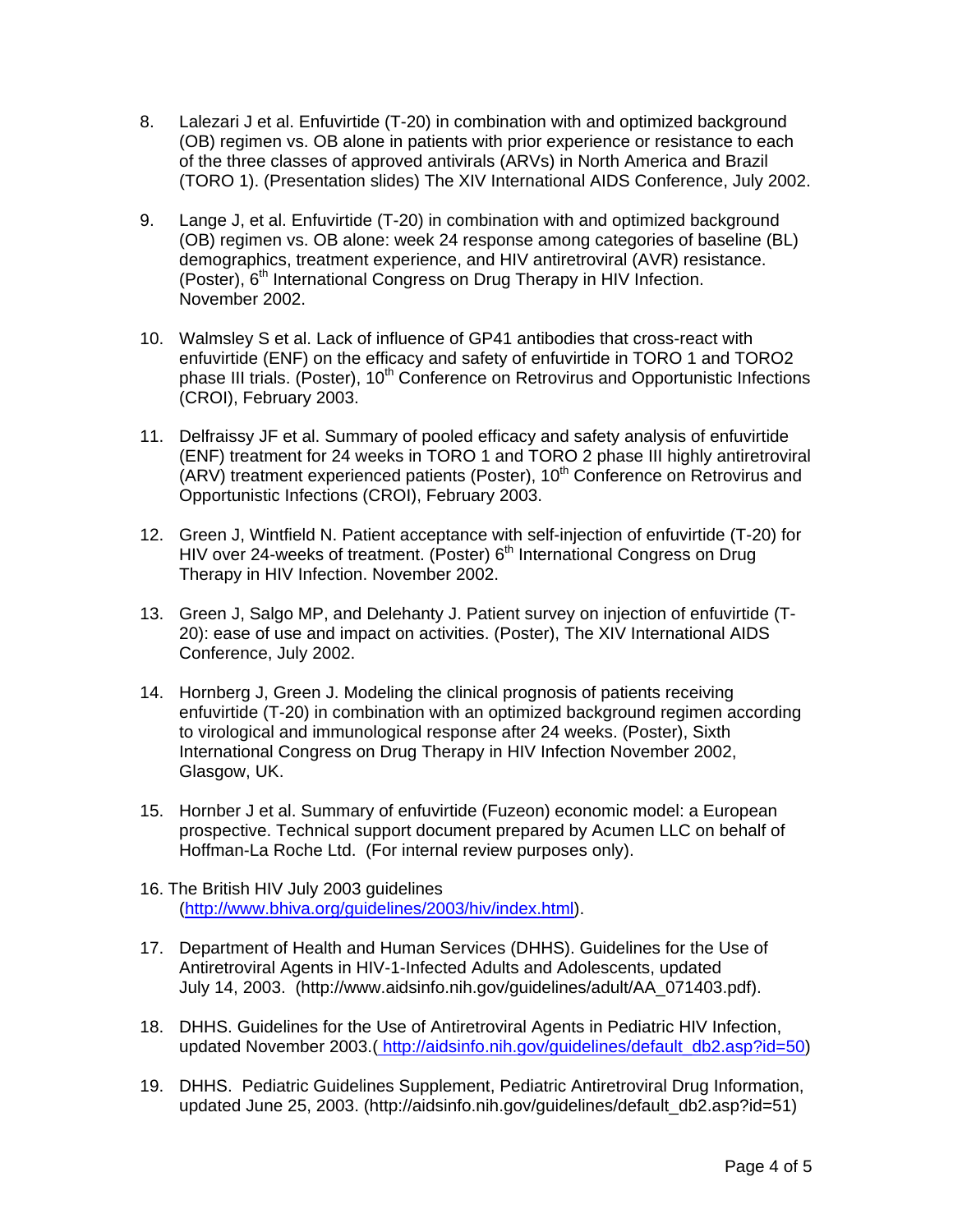- 8. Lalezari J et al. Enfuvirtide (T-20) in combination with and optimized background (OB) regimen vs. OB alone in patients with prior experience or resistance to each of the three classes of approved antivirals (ARVs) in North America and Brazil (TORO 1). (Presentation slides) The XIV International AIDS Conference, July 2002.
- 9. Lange J, et al. Enfuvirtide (T-20) in combination with and optimized background (OB) regimen vs. OB alone: week 24 response among categories of baseline (BL) demographics, treatment experience, and HIV antiretroviral (AVR) resistance. (Poster),  $6<sup>th</sup>$  International Congress on Drug Therapy in HIV Infection. November 2002.
- 10. Walmsley S et al. Lack of influence of GP41 antibodies that cross-react with enfuvirtide (ENF) on the efficacy and safety of enfuvirtide in TORO 1 and TORO2 phase III trials. (Poster), 10<sup>th</sup> Conference on Retrovirus and Opportunistic Infections (CROI), February 2003.
- 11. Delfraissy JF et al. Summary of pooled efficacy and safety analysis of enfuvirtide (ENF) treatment for 24 weeks in TORO 1 and TORO 2 phase III highly antiretroviral (ARV) treatment experienced patients (Poster),  $10<sup>th</sup>$  Conference on Retrovirus and Opportunistic Infections (CROI), February 2003.
- 12. Green J, Wintfield N. Patient acceptance with self-injection of enfuvirtide (T-20) for HIV over 24-weeks of treatment. (Poster)  $6<sup>th</sup>$  International Congress on Drug Therapy in HIV Infection. November 2002.
- 13. Green J, Salgo MP, and Delehanty J. Patient survey on injection of enfuvirtide (T-20): ease of use and impact on activities. (Poster), The XIV International AIDS Conference, July 2002.
- 14. Hornberg J, Green J. Modeling the clinical prognosis of patients receiving enfuvirtide (T-20) in combination with an optimized background regimen according to virological and immunological response after 24 weeks. (Poster), Sixth International Congress on Drug Therapy in HIV Infection November 2002, Glasgow, UK.
- 15. Hornber J et al. Summary of enfuvirtide (Fuzeon) economic model: a European prospective. Technical support document prepared by Acumen LLC on behalf of Hoffman-La Roche Ltd. (For internal review purposes only).
- 16. The British HIV July 2003 guidelines (http://www.bhiva.org/guidelines/2003/hiv/index.html).
- 17. Department of Health and Human Services (DHHS). Guidelines for the Use of Antiretroviral Agents in HIV-1-Infected Adults and Adolescents, updated July 14, 2003. (http://www.aidsinfo.nih.gov/guidelines/adult/AA\_071403.pdf).
- 18. DHHS. Guidelines for the Use of Antiretroviral Agents in Pediatric HIV Infection, updated November 2003.( http://aidsinfo.nih.gov/guidelines/default\_db2.asp?id=50)
- 19. DHHS. Pediatric Guidelines Supplement, Pediatric Antiretroviral Drug Information, updated June 25, 2003. (http://aidsinfo.nih.gov/guidelines/default\_db2.asp?id=51)